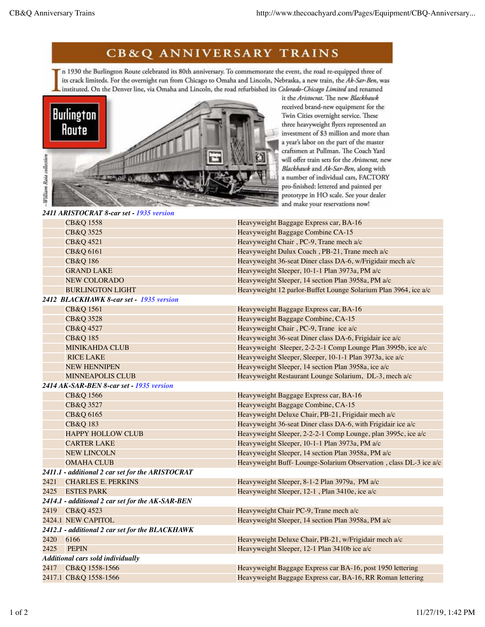## **CB&Q ANNIVERSARY TRAINS**

n 1930 the Burlington Route celebrated its 80th anniversary. To commemorate the event, the road re-equipped three of its crack limiteds. For the overnight run from Chicago to Omaha and Lincoln, Nebraska, a new train, the Ak-Sar-Ben, was instituted. On the Denver line, via Omaha and Lincoln, the road refurbished its Colorado-Chicago Limited and renamed



it the Aristocrat. The new Blackhawk received brand-new equipment for the Twin Cities overnight service. These three heavyweight flyers represented an investment of \$3 million and more than a year's labor on the part of the master craftsmen at Pullman. The Coach Yard will offer train sets for the Aristocrat, new Blackhawk and Ak-Sar-Ben, along with a number of individual cars, FACTORY pro-finished: lettered and painted per prototype in HO scale. See your dealer and make your reservations now!

CB&Q 1558 **Heavyweight Baggage Express car, BA-16** CB&Q 3525 Heavyweight Baggage Combine CA-15 CB&Q 4521 Heavyweight Chair , PC-9, Trane mech a/c CB&Q 6161 Heavyweight Dulux Coach , PB-21, Trane mech a/c CB&Q 186 Heavyweight 36-seat Diner class DA-6, w/Frigidair mech a/c GRAND LAKE Heavyweight Sleeper, 10-1-1 Plan 3973a, PM a/c NEW COLORADO **Heavyweight Sleeper, 14 section Plan 3958a**, PM a/c BURLINGTON LIGHT Heavyweight 12 parlor-Buffet Lounge Solarium Plan 3964, ice a/c *2412 BLACKHAWK 8-car set - 1935 version* CB&Q 1561 **Heavyweight Baggage Express car, BA-16** Heavyweight Baggage Express car, BA-16 CB&Q 3528 Heavyweight Baggage Combine, CA-15 CB&Q 4527 **Heavyweight Chair**, PC-9, Trane ice a/c CB&Q 185 Heavyweight 36-seat Diner class DA-6, Frigidair ice a/c MINIKAHDA CLUB Heavyweight Sleeper, 2-2-2-1 Comp Lounge Plan 3995b, ice a/c RICE LAKE Heavyweight Sleeper, Sleeper, 10-1-1 Plan 3973a, ice a/c NEW HENNIPEN Heavyweight Sleeper, 14 section Plan 3958a, ice a/c MINNEAPOLIS CLUB **Heavyweight Restaurant Lounge Solarium**, DL-3, mech a/c *2414 AK-SAR-BEN 8-car set - 1935 version* CB&Q 1566 **Heavyweight Baggage Express car, BA-16** CB&Q 3527 Heavyweight Baggage Combine, CA-15 CB&Q 6165 Heavyweight Deluxe Chair, PB-21, Frigidair mech a/c CB&Q 183 Heavyweight 36-seat Diner class DA-6, with Frigidair ice a/c HAPPY HOLLOW CLUB Heavyweight Sleeper, 2-2-2-1 Comp Lounge, plan 3995c, ice a/c CARTER LAKE Heavyweight Sleeper, 10-1-1 Plan 3973a, PM a/c NEW LINCOLN Heavyweight Sleeper, 14 section Plan 3958a, PM a/c OMAHA CLUB Heavyweight Buff- Lounge-Solarium Observation , class DL-3 ice a/c *2411.1 - additional 2 car set for the ARISTOCRAT* 2421 CHARLES E. PERKINS Heavyweight Sleeper, 8-1-2 Plan 3979a, PM a/c 2425 ESTES PARK Heavyweight Sleeper, 12-1 , Plan 3410e, ice a/c *2414.1 - additional 2 car set for the AK-SAR-BEN* 2419 CB&Q 4523 Heavyweight Chair PC-9, Trane mech a/c 2424.1 NEW CAPITOL 12024 12424.1 NEW CAPITOL *2412.1 - additional 2 car set for the BLACKHAWK* 2420 6166 Heavyweight Deluxe Chair, PB-21, w/Frigidair mech a/c 2425 PEPIN Heavyweight Sleeper, 12-1 Plan 3410b ice a/c *Additional cars sold individually* 2417 CB&Q 1558-1566 Heavyweight Baggage Express car BA-16, post 1950 lettering 2417.1 CB&Q 1558-1566 Heavyweight Baggage Express car, BA-16, RR Roman lettering